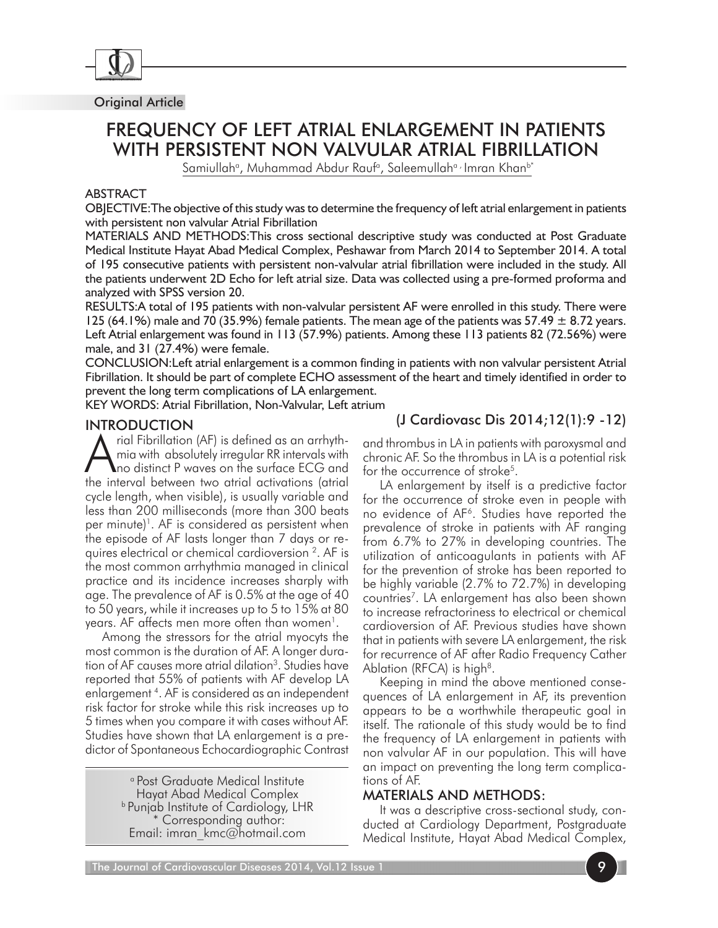

#### Original Article

# FREQUENCY OF LEFT ATRIAL ENLARGEMENT IN PATIENTS WITH PERSISTENT NON VALVULAR ATRIAL FIBRILLATION

Samiullahª, Muhammad Abdur Raufª, Saleemullahª<sup>,</sup> Imran Khan<sup>b\*</sup>

#### ABSTRACT

OBJECTIVE:The objective of this study was to determine the frequency of left atrial enlargement in patients with persistent non valvular Atrial Fibrillation

MATERIALS AND METHODS:This cross sectional descriptive study was conducted at Post Graduate Medical Institute Hayat Abad Medical Complex, Peshawar from March 2014 to September 2014. A total of 195 consecutive patients with persistent non-valvular atrial fibrillation were included in the study. All the patients underwent 2D Echo for left atrial size. Data was collected using a pre-formed proforma and analyzed with SPSS version 20.

RESULTS:A total of 195 patients with non-valvular persistent AF were enrolled in this study. There were 125 (64.1%) male and 70 (35.9%) female patients. The mean age of the patients was 57.49  $\pm$  8.72 years. Left Atrial enlargement was found in 113 (57.9%) patients. Among these 113 patients 82 (72.56%) were male, and 31 (27.4%) were female.

CONCLUSION:Left atrial enlargement is a common finding in patients with non valvular persistent Atrial Fibrillation. It should be part of complete ECHO assessment of the heart and timely identified in order to prevent the long term complications of LA enlargement.

KEY WORDS: Atrial Fibrillation, Non-Valvular, Left atrium

#### INTRODUCTION

rial Fibrillation (AF) is defined as an arrhythmia with absolutely irregular RR intervals with no distinct P waves on the surface ECG and the interval between two atrial activations (atrial cycle length, when visible), is usually variable and less than 200 milliseconds (more than 300 beats per minute)<sup>1</sup>. AF is considered as persistent when the episode of AF lasts longer than 7 days or requires electrical or chemical cardioversion 2. AF is the most common arrhythmia managed in clinical practice and its incidence increases sharply with age. The prevalence of AF is 0.5% at the age of 40 to 50 years, while it increases up to 5 to 15% at 80 years. AF affects men more often than women<sup>1</sup>.

Among the stressors for the atrial myocyts the most common is the duration of AF. A longer duration of AF causes more atrial dilation<sup>3</sup>. Studies have reported that 55% of patients with AF develop LA enlargement 4 . AF is considered as an independent risk factor for stroke while this risk increases up to 5 times when you compare it with cases without AF. Studies have shown that LA enlargement is a predictor of Spontaneous Echocardiographic Contrast

> a Post Graduate Medical Institute Hayat Abad Medical Complex b Punjab Institute of Cardiology, LHR Corresponding author: Email: imran\_kmc@hotmail.com

# (J Cardiovasc Dis 2014;12(1):9 -12)

and thrombus in LA in patients with paroxysmal and chronic AF. So the thrombus in LA is a potential risk for the occurrence of stroke<sup>5</sup>.

LA enlargement by itself is a predictive factor for the occurrence of stroke even in people with no evidence of AF<sup>6</sup>. Studies have reported the prevalence of stroke in patients with AF ranging from 6.7% to 27% in developing countries. The utilization of anticoagulants in patients with AF for the prevention of stroke has been reported to be highly variable (2.7% to 72.7%) in developing countries<sup>7</sup>. LA enlargement has also been shown to increase refractoriness to electrical or chemical cardioversion of AF. Previous studies have shown that in patients with severe LA enlargement, the risk for recurrence of AF after Radio Frequency Cather Ablation ( $RFCA$ ) is high<sup>8</sup>.

Keeping in mind the above mentioned consequences of LA enlargement in AF, its prevention appears to be a worthwhile therapeutic goal in itself. The rationale of this study would be to find the frequency of LA enlargement in patients with non valvular AF in our population. This will have an impact on preventing the long term complications of AF.

#### MATERIALS AND METHODS:

It was a descriptive cross-sectional study, conducted at Cardiology Department, Postgraduate Medical Institute, Hayat Abad Medical Complex,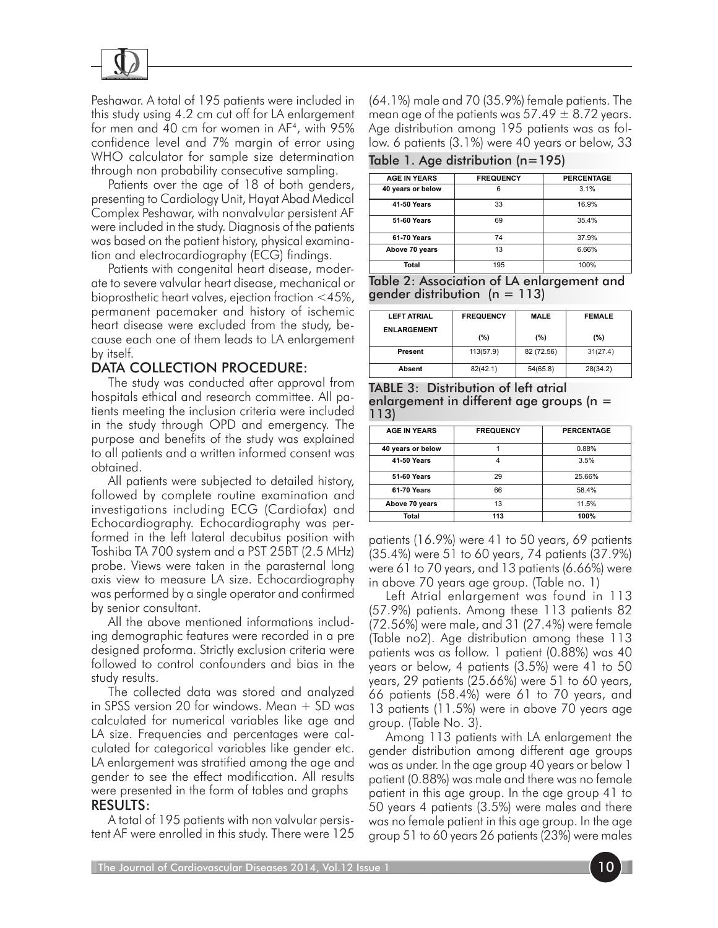

Peshawar. A total of 195 patients were included in this study using 4.2 cm cut off for LA enlargement for men and 40 cm for women in AF4, with 95% confidence level and 7% margin of error using WHO calculator for sample size determination through non probability consecutive sampling.

Patients over the age of 18 of both genders, presenting to Cardiology Unit, Hayat Abad Medical Complex Peshawar, with nonvalvular persistent AF were included in the study. Diagnosis of the patients was based on the patient history, physical examination and electrocardiography (ECG) findings.

Patients with congenital heart disease, moderate to severe valvular heart disease, mechanical or bioprosthetic heart valves, ejection fraction <45%, permanent pacemaker and history of ischemic heart disease were excluded from the study, because each one of them leads to LA enlargement by itself.

## DATA COLLECTION PROCEDURE:

The study was conducted after approval from hospitals ethical and research committee. All patients meeting the inclusion criteria were included in the study through OPD and emergency. The purpose and benefits of the study was explained to all patients and a written informed consent was obtained.

All patients were subjected to detailed history, followed by complete routine examination and investigations including ECG (Cardiofax) and Echocardiography. Echocardiography was performed in the left lateral decubitus position with Toshiba TA 700 system and a PST 25BT (2.5 MHz) probe. Views were taken in the parasternal long axis view to measure LA size. Echocardiography was performed by a single operator and confirmed by senior consultant.

All the above mentioned informations including demographic features were recorded in a pre designed proforma. Strictly exclusion criteria were followed to control confounders and bias in the study results.

The collected data was stored and analyzed in SPSS version 20 for windows. Mean + SD was calculated for numerical variables like age and LA size. Frequencies and percentages were calculated for categorical variables like gender etc. LA enlargement was stratified among the age and gender to see the effect modification. All results were presented in the form of tables and graphs RESULTS:

A total of 195 patients with non valvular persistent AF were enrolled in this study. There were 125 (64.1%) male and 70 (35.9%) female patients. The mean age of the patients was  $57.49 \pm 8.72$  years. Age distribution among 195 patients was as follow. 6 patients (3.1%) were 40 years or below, 33

|  |  | Table 1. Age distribution (n=195) |  |
|--|--|-----------------------------------|--|
|--|--|-----------------------------------|--|

| <b>AGE IN YEARS</b> | <b>FREQUENCY</b> | <b>PERCENTAGE</b> |
|---------------------|------------------|-------------------|
| 40 years or below   | 6                | 3.1%              |
| 41-50 Years         | 33               | 16.9%             |
| <b>51-60 Years</b>  | 69               | 35.4%             |
| <b>61-70 Years</b>  | 74               | 37.9%             |
| Above 70 years      | 13               | 6.66%             |
| Total               | 195              | 100%              |

Table 2: Association of LA enlargement and gender distribution  $(n = 113)$ 

| <b>LEFT ATRIAL</b> | <b>FREQUENCY</b> | <b>MALE</b> | <b>FEMALE</b> |
|--------------------|------------------|-------------|---------------|
| <b>ENLARGEMENT</b> | (%)              | (%)         | (%)           |
| Present            | 113(57.9)        | 82 (72.56)  | 31(27.4)      |
| <b>Absent</b>      | 82(42.1)         | 54(65.8)    | 28(34.2)      |

TABLE 3: Distribution of left atrial enlargement in different age groups (n = 113)

| <b>AGE IN YEARS</b> | <b>FREQUENCY</b> | <b>PERCENTAGE</b> |
|---------------------|------------------|-------------------|
| 40 years or below   |                  | 0.88%             |
| 41 50 Years         | 4                | 3.5%              |
| <b>51-60 Years</b>  | 29               | 25.66%            |
| 61-70 Years         | 66               | 58.4%             |
| Above 70 years      | 13               | 11.5%             |
| Total               | 113              | 100%              |

patients (16.9%) were 41 to 50 years, 69 patients (35.4%) were 51 to 60 years, 74 patients (37.9%) were 61 to 70 years, and 13 patients (6.66%) were in above 70 years age group. (Table no. 1)

Left Atrial enlargement was found in 113 (57.9%) patients. Among these 113 patients 82 (72.56%) were male, and 31 (27.4%) were female (Table no2). Age distribution among these 113 patients was as follow. 1 patient (0.88%) was 40 years or below, 4 patients (3.5%) were 41 to 50 years, 29 patients (25.66%) were 51 to 60 years, 66 patients (58.4%) were 61 to 70 years, and 13 patients (11.5%) were in above 70 years age group. (Table No. 3).

Among 113 patients with LA enlargement the gender distribution among different age groups was as under. In the age group 40 years or below 1 patient (0.88%) was male and there was no female patient in this age group. In the age group 41 to 50 years 4 patients (3.5%) were males and there was no female patient in this age group. In the age group 51 to 60 years 26 patients (23%) were males

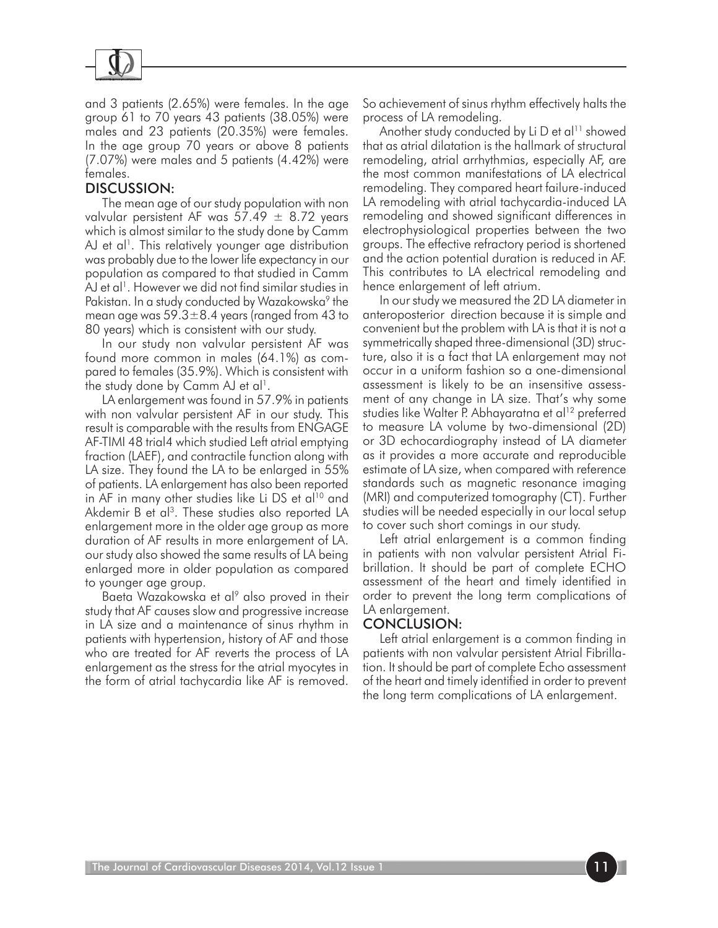

and 3 patients (2.65%) were females. In the age group 61 to 70 years 43 patients (38.05%) were males and 23 patients (20.35%) were females. In the age group 70 years or above 8 patients (7.07%) were males and 5 patients (4.42%) were females.

#### DISCUSSION:

The mean age of our study population with non valvular persistent AF was  $57.49 \pm 8.72$  years which is almost similar to the study done by Camm AJ et al<sup>1</sup>. This relatively younger age distribution was probably due to the lower life expectancy in our population as compared to that studied in Camm AJ et al<sup>1</sup>. However we did not find similar studies in Pakistan. In a study conducted by Wazakowska<sup>9</sup> the mean age was  $59.3 \pm 8.4$  years (ranged from 43 to 80 years) which is consistent with our study.

In our study non valvular persistent AF was found more common in males (64.1%) as compared to females (35.9%). Which is consistent with the study done by Camm  $\Delta J$  et al<sup>1</sup>.

LA enlargement was found in 57.9% in patients with non valvular persistent AF in our study. This result is comparable with the results from ENGAGE AF-TIMI 48 trial4 which studied Left atrial emptying fraction (LAEF), and contractile function along with LA size. They found the LA to be enlarged in 55% of patients. LA enlargement has also been reported in AF in many other studies like Li DS et al<sup>10</sup> and Akdemir B et al<sup>3</sup>. These studies also reported LA enlargement more in the older age group as more duration of AF results in more enlargement of LA. our study also showed the same results of LA being enlarged more in older population as compared to younger age group.

Baeta Wazakowska et al<sup>9</sup> also proved in their study that AF causes slow and progressive increase in LA size and a maintenance of sinus rhythm in patients with hypertension, history of AF and those who are treated for AF reverts the process of LA enlargement as the stress for the atrial myocytes in the form of atrial tachycardia like AF is removed.

So achievement of sinus rhythm effectively halts the process of LA remodeling.

Another study conducted by Li D et al<sup>11</sup> showed that as atrial dilatation is the hallmark of structural remodeling, atrial arrhythmias, especially AF, are the most common manifestations of LA electrical remodeling. They compared heart failure-induced LA remodeling with atrial tachycardia-induced LA remodeling and showed significant differences in electrophysiological properties between the two groups. The effective refractory period is shortened and the action potential duration is reduced in AF. This contributes to LA electrical remodeling and hence enlargement of left atrium.

In our study we measured the 2D LA diameter in anteroposterior direction because it is simple and convenient but the problem with LA is that it is not a symmetrically shaped three-dimensional (3D) structure, also it is a fact that LA enlargement may not occur in a uniform fashion so a one-dimensional assessment is likely to be an insensitive assessment of any change in LA size. That's why some studies like Walter P. Abhayaratna et al<sup>12</sup> preferred to measure LA volume by two-dimensional (2D) or 3D echocardiography instead of LA diameter as it provides a more accurate and reproducible estimate of LA size, when compared with reference standards such as magnetic resonance imaging (MRI) and computerized tomography (CT). Further studies will be needed especially in our local setup to cover such short comings in our study.

Left atrial enlargement is a common finding in patients with non valvular persistent Atrial Fibrillation. It should be part of complete ECHO assessment of the heart and timely identified in order to prevent the long term complications of LA enlargement.

## CONCLUSION:

Left atrial enlargement is a common finding in patients with non valvular persistent Atrial Fibrillation. It should be part of complete Echo assessment of the heart and timely identified in order to prevent the long term complications of LA enlargement.